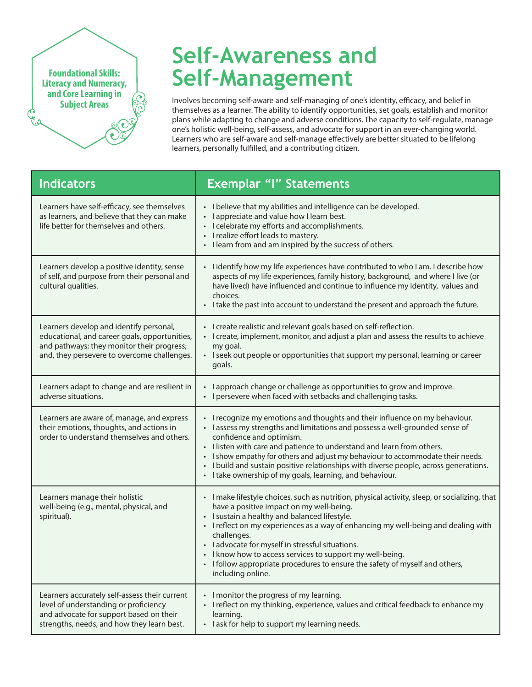**Foundational Skills: Literacy and Numeracy, and Core Learning in Subject Areas**

## **Self-Awareness and Self-Management**

Involves becoming self-aware and self-managing of one's identity, efficacy, and belief in themselves as a learner. The ability to identify opportunities, set goals, establish and monitor plans while adapting to change and adverse conditions. The capacity to self-regulate, manage one's holistic well-being, self-assess, and advocate for support in an ever-changing world. Learners who are self-aware and self-manage effectively are better situated to be lifelong learners, personally fulfilled, and a contributing citizen.

| <b>Indicators</b>                                                                                                                                                                     | <b>Exemplar "I" Statements</b>                                                                                                                                                                                                                                                                                                                                                                                                                                                                                       |
|---------------------------------------------------------------------------------------------------------------------------------------------------------------------------------------|----------------------------------------------------------------------------------------------------------------------------------------------------------------------------------------------------------------------------------------------------------------------------------------------------------------------------------------------------------------------------------------------------------------------------------------------------------------------------------------------------------------------|
| Learners have self-efficacy, see themselves<br>as learners, and believe that they can make<br>life better for themselves and others.                                                  | • I believe that my abilities and intelligence can be developed.<br>I appreciate and value how I learn best.<br>$\bullet$<br>I celebrate my efforts and accomplishments.<br>$\bullet$<br>I realize effort leads to mastery.<br>$\bullet$<br>I learn from and am inspired by the success of others.                                                                                                                                                                                                                   |
| Learners develop a positive identity, sense<br>of self, and purpose from their personal and<br>cultural qualities.                                                                    | I identify how my life experiences have contributed to who I am. I describe how<br>aspects of my life experiences, family history, background, and where I live (or<br>have lived) have influenced and continue to influence my identity, values and<br>choices.<br>• I take the past into account to understand the present and approach the future.                                                                                                                                                                |
| Learners develop and identify personal,<br>educational, and career goals, opportunities,<br>and pathways; they monitor their progress;<br>and, they persevere to overcome challenges. | • I create realistic and relevant goals based on self-reflection.<br>• I create, implement, monitor, and adjust a plan and assess the results to achieve<br>my goal.<br>• I seek out people or opportunities that support my personal, learning or career<br>goals.                                                                                                                                                                                                                                                  |
| Learners adapt to change and are resilient in<br>adverse situations.                                                                                                                  | • I approach change or challenge as opportunities to grow and improve.<br>I persevere when faced with setbacks and challenging tasks.                                                                                                                                                                                                                                                                                                                                                                                |
| Learners are aware of, manage, and express<br>their emotions, thoughts, and actions in<br>order to understand themselves and others.                                                  | • I recognize my emotions and thoughts and their influence on my behaviour.<br>• I assess my strengths and limitations and possess a well-grounded sense of<br>confidence and optimism.<br>I listen with care and patience to understand and learn from others.<br>· I show empathy for others and adjust my behaviour to accommodate their needs.<br>• I build and sustain positive relationships with diverse people, across generations.<br>• I take ownership of my goals, learning, and behaviour.              |
| Learners manage their holistic<br>well-being (e.g., mental, physical, and<br>spiritual).                                                                                              | · I make lifestyle choices, such as nutrition, physical activity, sleep, or socializing, that<br>have a positive impact on my well-being.<br>· I sustain a healthy and balanced lifestyle.<br>• I reflect on my experiences as a way of enhancing my well-being and dealing with<br>challenges.<br>• ladvocate for myself in stressful situations.<br>• I know how to access services to support my well-being.<br>• I follow appropriate procedures to ensure the safety of myself and others,<br>including online. |
| Learners accurately self-assess their current<br>level of understanding or proficiency<br>and advocate for support based on their<br>strengths, needs, and how they learn best.       | • I monitor the progress of my learning.<br>• I reflect on my thinking, experience, values and critical feedback to enhance my<br>learning.<br>I ask for help to support my learning needs.<br>$\bullet$                                                                                                                                                                                                                                                                                                             |